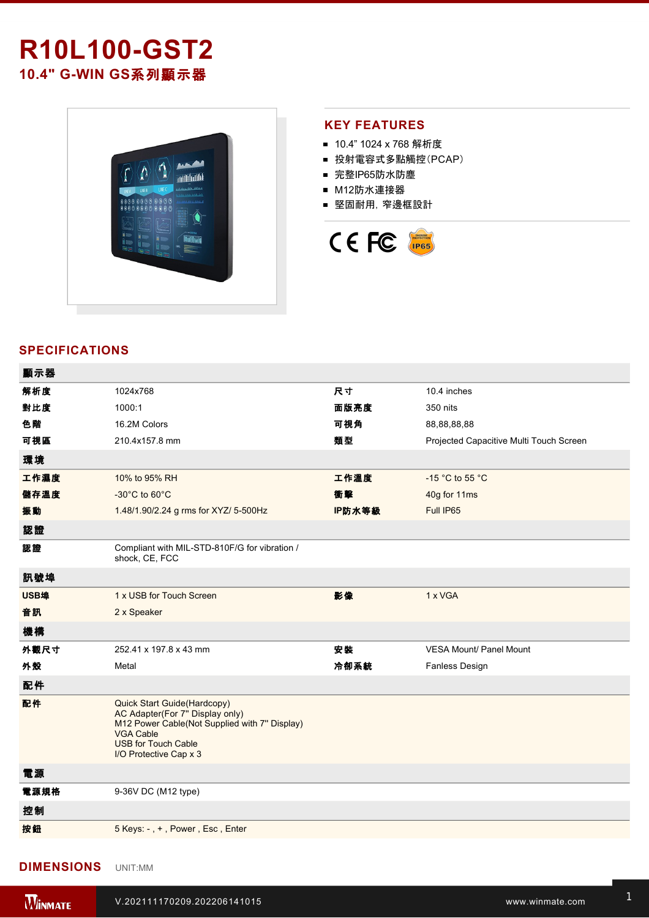# **R10L100GST2** 10.4" G-WIN GS系列顯示器



### **KEY FEATURES**

- 10.4" 1024 x 768 解析度
- 投射電容式多點觸控(PCAP)
- 完整IP65防水防塵
- M12防水連接器
- 堅固耐用,窄邊框設計



## **SPECIFICATIONS**

| 顯示器  |                                                                                                                                                                                             |        |                                         |
|------|---------------------------------------------------------------------------------------------------------------------------------------------------------------------------------------------|--------|-----------------------------------------|
| 解析度  | 1024x768                                                                                                                                                                                    | 尺寸     | 10.4 inches                             |
| 對比度  | 1000:1                                                                                                                                                                                      | 面版亮度   | 350 nits                                |
| 色階   | 16.2M Colors                                                                                                                                                                                | 可視角    | 88,88,88,88                             |
| 可視區  | 210.4x157.8 mm                                                                                                                                                                              | 類型     | Projected Capacitive Multi Touch Screen |
| 環境   |                                                                                                                                                                                             |        |                                         |
| 工作濕度 | 10% to 95% RH                                                                                                                                                                               | 工作溫度   | -15 °C to 55 °C                         |
| 儲存溫度 | $-30^{\circ}$ C to 60 $^{\circ}$ C                                                                                                                                                          | 衝擊     | 40g for 11ms                            |
| 振動   | 1.48/1.90/2.24 g rms for XYZ/ 5-500Hz                                                                                                                                                       | IP防水等級 | Full IP65                               |
| 認證   |                                                                                                                                                                                             |        |                                         |
| 認證   | Compliant with MIL-STD-810F/G for vibration /<br>shock, CE, FCC                                                                                                                             |        |                                         |
| 訊號埠  |                                                                                                                                                                                             |        |                                         |
| USB埠 | 1 x USB for Touch Screen                                                                                                                                                                    | 影像     | 1 x VGA                                 |
| 音訊   | 2 x Speaker                                                                                                                                                                                 |        |                                         |
| 機構   |                                                                                                                                                                                             |        |                                         |
| 外觀尺寸 | 252.41 x 197.8 x 43 mm                                                                                                                                                                      | 安裝     | <b>VESA Mount/ Panel Mount</b>          |
| 外殼   | Metal                                                                                                                                                                                       | 冷卻系統   | Fanless Design                          |
| 配件   |                                                                                                                                                                                             |        |                                         |
| 配件   | Quick Start Guide(Hardcopy)<br>AC Adapter(For 7" Display only)<br>M12 Power Cable(Not Supplied with 7" Display)<br><b>VGA Cable</b><br><b>USB for Touch Cable</b><br>I/O Protective Cap x 3 |        |                                         |
| 電源   |                                                                                                                                                                                             |        |                                         |
| 電源規格 | 9-36V DC (M12 type)                                                                                                                                                                         |        |                                         |
| 控制   |                                                                                                                                                                                             |        |                                         |
| 按鈕   | 5 Keys: -, +, Power, Esc, Enter                                                                                                                                                             |        |                                         |
|      |                                                                                                                                                                                             |        |                                         |

## **DIMENSIONS**  UNIT:MM